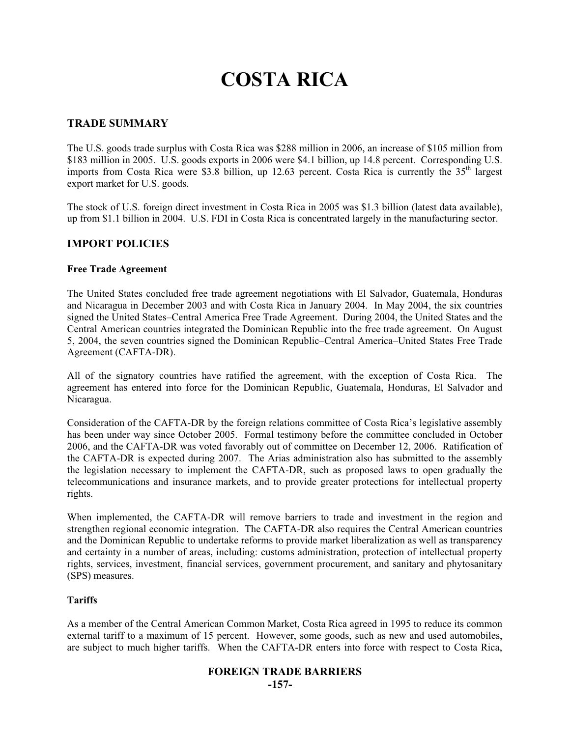# **COSTA RICA**

# **TRADE SUMMARY**

The U.S. goods trade surplus with Costa Rica was \$288 million in 2006, an increase of \$105 million from \$183 million in 2005. U.S. goods exports in 2006 were \$4.1 billion, up 14.8 percent. Corresponding U.S. imports from Costa Rica were \$3.8 billion, up 12.63 percent. Costa Rica is currently the  $35<sup>th</sup>$  largest export market for U.S. goods.

The stock of U.S. foreign direct investment in Costa Rica in 2005 was \$1.3 billion (latest data available), up from \$1.1 billion in 2004. U.S. FDI in Costa Rica is concentrated largely in the manufacturing sector.

#### **IMPORT POLICIES**

#### **Free Trade Agreement**

The United States concluded free trade agreement negotiations with El Salvador, Guatemala, Honduras and Nicaragua in December 2003 and with Costa Rica in January 2004. In May 2004, the six countries signed the United States–Central America Free Trade Agreement. During 2004, the United States and the Central American countries integrated the Dominican Republic into the free trade agreement. On August 5, 2004, the seven countries signed the Dominican Republic–Central America–United States Free Trade Agreement (CAFTA-DR).

All of the signatory countries have ratified the agreement, with the exception of Costa Rica. The agreement has entered into force for the Dominican Republic, Guatemala, Honduras, El Salvador and Nicaragua.

Consideration of the CAFTA-DR by the foreign relations committee of Costa Rica's legislative assembly has been under way since October 2005. Formal testimony before the committee concluded in October 2006, and the CAFTA-DR was voted favorably out of committee on December 12, 2006. Ratification of the CAFTA-DR is expected during 2007. The Arias administration also has submitted to the assembly the legislation necessary to implement the CAFTA-DR, such as proposed laws to open gradually the telecommunications and insurance markets, and to provide greater protections for intellectual property rights.

When implemented, the CAFTA-DR will remove barriers to trade and investment in the region and strengthen regional economic integration. The CAFTA-DR also requires the Central American countries and the Dominican Republic to undertake reforms to provide market liberalization as well as transparency and certainty in a number of areas, including: customs administration, protection of intellectual property rights, services, investment, financial services, government procurement, and sanitary and phytosanitary (SPS) measures.

#### **Tariffs**

As a member of the Central American Common Market, Costa Rica agreed in 1995 to reduce its common external tariff to a maximum of 15 percent. However, some goods, such as new and used automobiles, are subject to much higher tariffs. When the CAFTA-DR enters into force with respect to Costa Rica,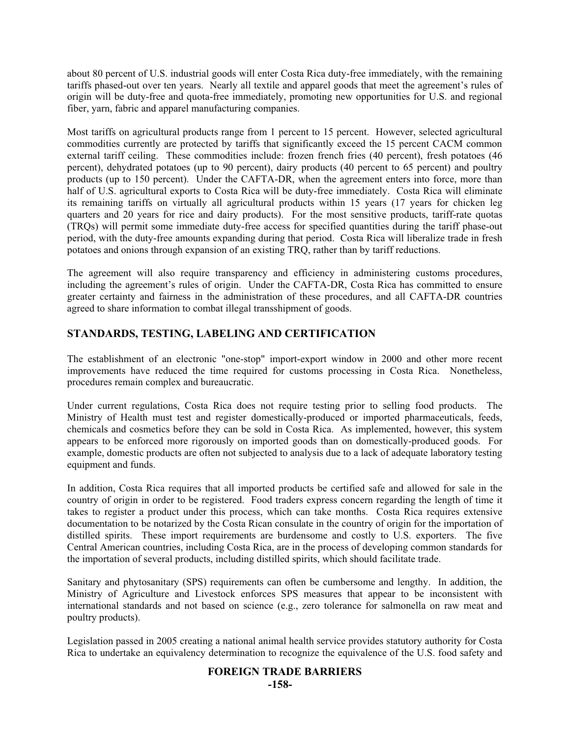about 80 percent of U.S. industrial goods will enter Costa Rica duty-free immediately, with the remaining tariffs phased-out over ten years. Nearly all textile and apparel goods that meet the agreement's rules of origin will be duty-free and quota-free immediately, promoting new opportunities for U.S. and regional fiber, yarn, fabric and apparel manufacturing companies.

Most tariffs on agricultural products range from 1 percent to 15 percent. However, selected agricultural commodities currently are protected by tariffs that significantly exceed the 15 percent CACM common external tariff ceiling. These commodities include: frozen french fries (40 percent), fresh potatoes (46 percent), dehydrated potatoes (up to 90 percent), dairy products (40 percent to 65 percent) and poultry products (up to 150 percent). Under the CAFTA-DR, when the agreement enters into force, more than half of U.S. agricultural exports to Costa Rica will be duty-free immediately. Costa Rica will eliminate its remaining tariffs on virtually all agricultural products within 15 years (17 years for chicken leg quarters and 20 years for rice and dairy products). For the most sensitive products, tariff-rate quotas (TRQs) will permit some immediate duty-free access for specified quantities during the tariff phase-out period, with the duty-free amounts expanding during that period. Costa Rica will liberalize trade in fresh potatoes and onions through expansion of an existing TRQ, rather than by tariff reductions.

The agreement will also require transparency and efficiency in administering customs procedures, including the agreement's rules of origin. Under the CAFTA-DR, Costa Rica has committed to ensure greater certainty and fairness in the administration of these procedures, and all CAFTA-DR countries agreed to share information to combat illegal transshipment of goods.

# **STANDARDS, TESTING, LABELING AND CERTIFICATION**

The establishment of an electronic "one-stop" import-export window in 2000 and other more recent improvements have reduced the time required for customs processing in Costa Rica. Nonetheless, procedures remain complex and bureaucratic.

Under current regulations, Costa Rica does not require testing prior to selling food products. The Ministry of Health must test and register domestically-produced or imported pharmaceuticals, feeds, chemicals and cosmetics before they can be sold in Costa Rica. As implemented, however, this system appears to be enforced more rigorously on imported goods than on domestically-produced goods. For example, domestic products are often not subjected to analysis due to a lack of adequate laboratory testing equipment and funds.

In addition, Costa Rica requires that all imported products be certified safe and allowed for sale in the country of origin in order to be registered. Food traders express concern regarding the length of time it takes to register a product under this process, which can take months. Costa Rica requires extensive documentation to be notarized by the Costa Rican consulate in the country of origin for the importation of distilled spirits. These import requirements are burdensome and costly to U.S. exporters. The five Central American countries, including Costa Rica, are in the process of developing common standards for the importation of several products, including distilled spirits, which should facilitate trade.

Sanitary and phytosanitary (SPS) requirements can often be cumbersome and lengthy. In addition, the Ministry of Agriculture and Livestock enforces SPS measures that appear to be inconsistent with international standards and not based on science (e.g., zero tolerance for salmonella on raw meat and poultry products).

Legislation passed in 2005 creating a national animal health service provides statutory authority for Costa Rica to undertake an equivalency determination to recognize the equivalence of the U.S. food safety and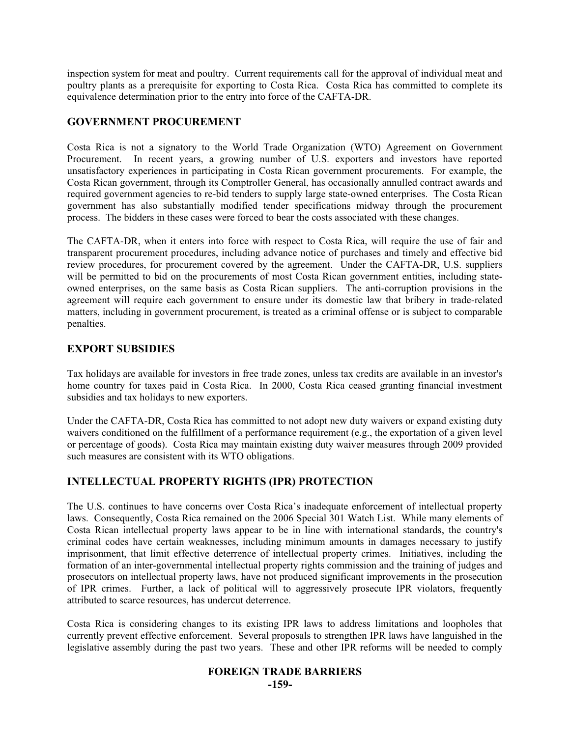inspection system for meat and poultry. Current requirements call for the approval of individual meat and poultry plants as a prerequisite for exporting to Costa Rica. Costa Rica has committed to complete its equivalence determination prior to the entry into force of the CAFTA-DR.

# **GOVERNMENT PROCUREMENT**

Costa Rica is not a signatory to the World Trade Organization (WTO) Agreement on Government Procurement. In recent years, a growing number of U.S. exporters and investors have reported unsatisfactory experiences in participating in Costa Rican government procurements. For example, the Costa Rican government, through its Comptroller General, has occasionally annulled contract awards and required government agencies to re-bid tenders to supply large state-owned enterprises. The Costa Rican government has also substantially modified tender specifications midway through the procurement process. The bidders in these cases were forced to bear the costs associated with these changes.

The CAFTA-DR, when it enters into force with respect to Costa Rica, will require the use of fair and transparent procurement procedures, including advance notice of purchases and timely and effective bid review procedures, for procurement covered by the agreement. Under the CAFTA-DR, U.S. suppliers will be permitted to bid on the procurements of most Costa Rican government entities, including stateowned enterprises, on the same basis as Costa Rican suppliers. The anti-corruption provisions in the agreement will require each government to ensure under its domestic law that bribery in trade-related matters, including in government procurement, is treated as a criminal offense or is subject to comparable penalties.

# **EXPORT SUBSIDIES**

Tax holidays are available for investors in free trade zones, unless tax credits are available in an investor's home country for taxes paid in Costa Rica. In 2000, Costa Rica ceased granting financial investment subsidies and tax holidays to new exporters.

Under the CAFTA-DR, Costa Rica has committed to not adopt new duty waivers or expand existing duty waivers conditioned on the fulfillment of a performance requirement (e.g., the exportation of a given level or percentage of goods). Costa Rica may maintain existing duty waiver measures through 2009 provided such measures are consistent with its WTO obligations.

# **INTELLECTUAL PROPERTY RIGHTS (IPR) PROTECTION**

The U.S. continues to have concerns over Costa Rica's inadequate enforcement of intellectual property laws. Consequently, Costa Rica remained on the 2006 Special 301 Watch List. While many elements of Costa Rican intellectual property laws appear to be in line with international standards, the country's criminal codes have certain weaknesses, including minimum amounts in damages necessary to justify imprisonment, that limit effective deterrence of intellectual property crimes. Initiatives, including the formation of an inter-governmental intellectual property rights commission and the training of judges and prosecutors on intellectual property laws, have not produced significant improvements in the prosecution of IPR crimes. Further, a lack of political will to aggressively prosecute IPR violators, frequently attributed to scarce resources, has undercut deterrence.

Costa Rica is considering changes to its existing IPR laws to address limitations and loopholes that currently prevent effective enforcement. Several proposals to strengthen IPR laws have languished in the legislative assembly during the past two years. These and other IPR reforms will be needed to comply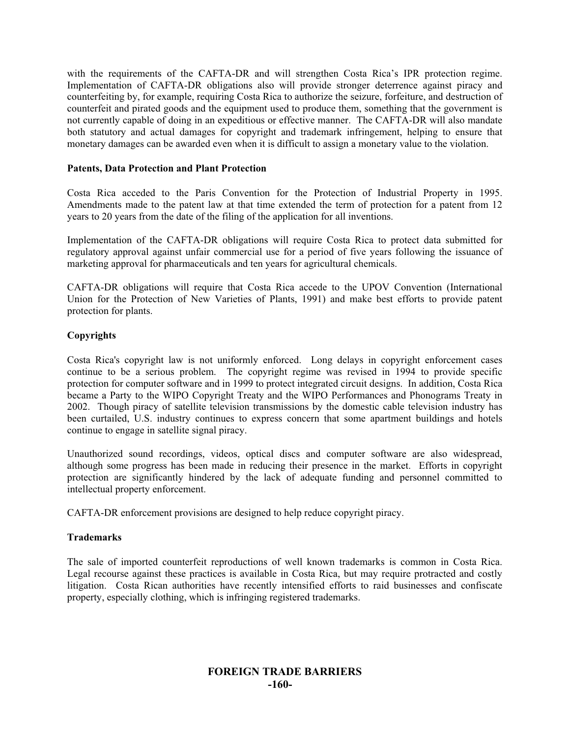with the requirements of the CAFTA-DR and will strengthen Costa Rica's IPR protection regime. Implementation of CAFTA-DR obligations also will provide stronger deterrence against piracy and counterfeiting by, for example, requiring Costa Rica to authorize the seizure, forfeiture, and destruction of counterfeit and pirated goods and the equipment used to produce them, something that the government is not currently capable of doing in an expeditious or effective manner. The CAFTA-DR will also mandate both statutory and actual damages for copyright and trademark infringement, helping to ensure that monetary damages can be awarded even when it is difficult to assign a monetary value to the violation.

#### **Patents, Data Protection and Plant Protection**

Costa Rica acceded to the Paris Convention for the Protection of Industrial Property in 1995. Amendments made to the patent law at that time extended the term of protection for a patent from 12 years to 20 years from the date of the filing of the application for all inventions.

Implementation of the CAFTA-DR obligations will require Costa Rica to protect data submitted for regulatory approval against unfair commercial use for a period of five years following the issuance of marketing approval for pharmaceuticals and ten years for agricultural chemicals.

CAFTA-DR obligations will require that Costa Rica accede to the UPOV Convention (International Union for the Protection of New Varieties of Plants, 1991) and make best efforts to provide patent protection for plants.

#### **Copyrights**

Costa Rica's copyright law is not uniformly enforced. Long delays in copyright enforcement cases continue to be a serious problem. The copyright regime was revised in 1994 to provide specific protection for computer software and in 1999 to protect integrated circuit designs. In addition, Costa Rica became a Party to the WIPO Copyright Treaty and the WIPO Performances and Phonograms Treaty in 2002. Though piracy of satellite television transmissions by the domestic cable television industry has been curtailed, U.S. industry continues to express concern that some apartment buildings and hotels continue to engage in satellite signal piracy.

Unauthorized sound recordings, videos, optical discs and computer software are also widespread, although some progress has been made in reducing their presence in the market. Efforts in copyright protection are significantly hindered by the lack of adequate funding and personnel committed to intellectual property enforcement.

CAFTA-DR enforcement provisions are designed to help reduce copyright piracy.

#### **Trademarks**

The sale of imported counterfeit reproductions of well known trademarks is common in Costa Rica. Legal recourse against these practices is available in Costa Rica, but may require protracted and costly litigation. Costa Rican authorities have recently intensified efforts to raid businesses and confiscate property, especially clothing, which is infringing registered trademarks.

# **FOREIGN TRADE BARRIERS -160-**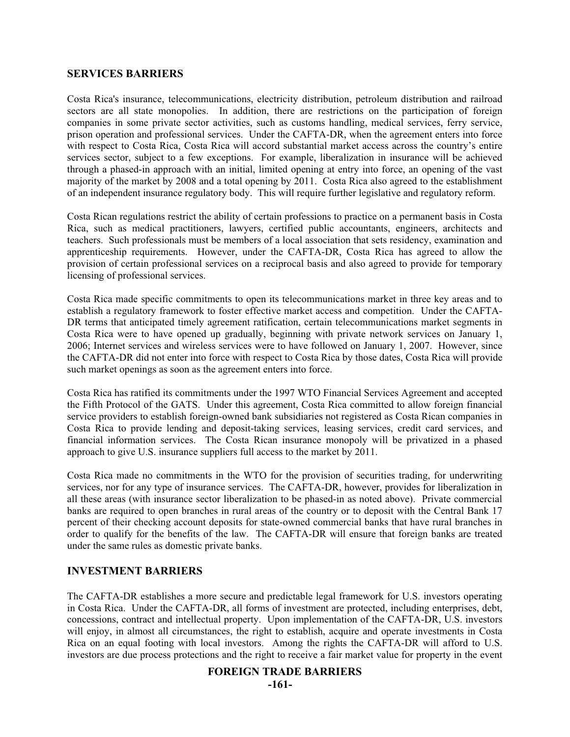#### **SERVICES BARRIERS**

Costa Rica's insurance, telecommunications, electricity distribution, petroleum distribution and railroad sectors are all state monopolies. In addition, there are restrictions on the participation of foreign companies in some private sector activities, such as customs handling, medical services, ferry service, prison operation and professional services. Under the CAFTA-DR, when the agreement enters into force with respect to Costa Rica, Costa Rica will accord substantial market access across the country's entire services sector, subject to a few exceptions. For example, liberalization in insurance will be achieved through a phased-in approach with an initial, limited opening at entry into force, an opening of the vast majority of the market by 2008 and a total opening by 2011. Costa Rica also agreed to the establishment of an independent insurance regulatory body. This will require further legislative and regulatory reform.

Costa Rican regulations restrict the ability of certain professions to practice on a permanent basis in Costa Rica, such as medical practitioners, lawyers, certified public accountants, engineers, architects and teachers. Such professionals must be members of a local association that sets residency, examination and apprenticeship requirements. However, under the CAFTA-DR, Costa Rica has agreed to allow the provision of certain professional services on a reciprocal basis and also agreed to provide for temporary licensing of professional services.

Costa Rica made specific commitments to open its telecommunications market in three key areas and to establish a regulatory framework to foster effective market access and competition. Under the CAFTA-DR terms that anticipated timely agreement ratification, certain telecommunications market segments in Costa Rica were to have opened up gradually, beginning with private network services on January 1, 2006; Internet services and wireless services were to have followed on January 1, 2007. However, since the CAFTA-DR did not enter into force with respect to Costa Rica by those dates, Costa Rica will provide such market openings as soon as the agreement enters into force.

Costa Rica has ratified its commitments under the 1997 WTO Financial Services Agreement and accepted the Fifth Protocol of the GATS. Under this agreement, Costa Rica committed to allow foreign financial service providers to establish foreign-owned bank subsidiaries not registered as Costa Rican companies in Costa Rica to provide lending and deposit-taking services, leasing services, credit card services, and financial information services. The Costa Rican insurance monopoly will be privatized in a phased approach to give U.S. insurance suppliers full access to the market by 2011.

Costa Rica made no commitments in the WTO for the provision of securities trading, for underwriting services, nor for any type of insurance services. The CAFTA-DR, however, provides for liberalization in all these areas (with insurance sector liberalization to be phased-in as noted above). Private commercial banks are required to open branches in rural areas of the country or to deposit with the Central Bank 17 percent of their checking account deposits for state-owned commercial banks that have rural branches in order to qualify for the benefits of the law. The CAFTA-DR will ensure that foreign banks are treated under the same rules as domestic private banks.

# **INVESTMENT BARRIERS**

The CAFTA-DR establishes a more secure and predictable legal framework for U.S. investors operating in Costa Rica. Under the CAFTA-DR, all forms of investment are protected, including enterprises, debt, concessions, contract and intellectual property. Upon implementation of the CAFTA-DR, U.S. investors will enjoy, in almost all circumstances, the right to establish, acquire and operate investments in Costa Rica on an equal footing with local investors. Among the rights the CAFTA-DR will afford to U.S. investors are due process protections and the right to receive a fair market value for property in the event